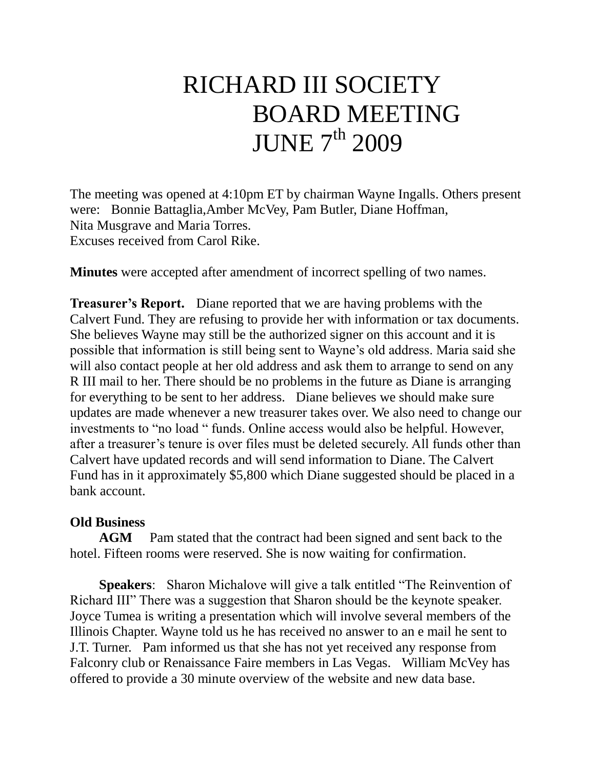## RICHARD III SOCIETY BOARD MEETING **JUNE 7<sup>th</sup> 2009**

The meeting was opened at 4:10pm ET by chairman Wayne Ingalls. Others present were: Bonnie Battaglia,Amber McVey, Pam Butler, Diane Hoffman, Nita Musgrave and Maria Torres. Excuses received from Carol Rike.

**Minutes** were accepted after amendment of incorrect spelling of two names.

**Treasurer's Report.** Diane reported that we are having problems with the Calvert Fund. They are refusing to provide her with information or tax documents. She believes Wayne may still be the authorized signer on this account and it is possible that information is still being sent to Wayne's old address. Maria said she will also contact people at her old address and ask them to arrange to send on any R III mail to her. There should be no problems in the future as Diane is arranging for everything to be sent to her address. Diane believes we should make sure updates are made whenever a new treasurer takes over. We also need to change our investments to "no load " funds. Online access would also be helpful. However, after a treasurer's tenure is over files must be deleted securely. All funds other than Calvert have updated records and will send information to Diane. The Calvert Fund has in it approximately \$5,800 which Diane suggested should be placed in a bank account.

## **Old Business**

**AGM** Pam stated that the contract had been signed and sent back to the hotel. Fifteen rooms were reserved. She is now waiting for confirmation.

 **Speakers**: Sharon Michalove will give a talk entitled "The Reinvention of Richard III" There was a suggestion that Sharon should be the keynote speaker. Joyce Tumea is writing a presentation which will involve several members of the Illinois Chapter. Wayne told us he has received no answer to an e mail he sent to J.T. Turner. Pam informed us that she has not yet received any response from Falconry club or Renaissance Faire members in Las Vegas. William McVey has offered to provide a 30 minute overview of the website and new data base.